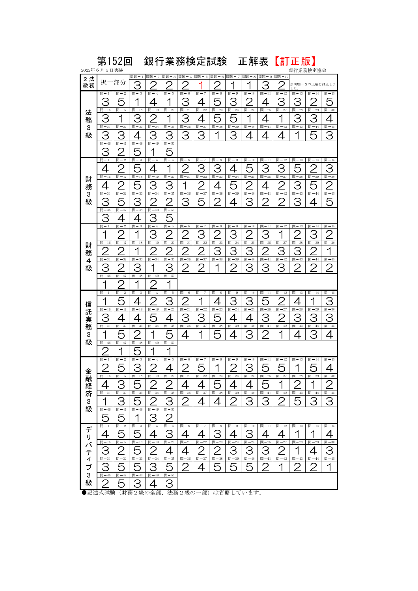|                            | 第152回<br>銀行業務検定試験<br>正解表<br>2022年6月5日実施                                         |                                                                   |                                                                        |                                                                          |                                                                           |                                                                 |                                                                 |                                                         |                                                 |                                           | 【訂正版】<br>銀行業務検定協会                            |                                                     |                                                      |                                                  |                                                                   |
|----------------------------|---------------------------------------------------------------------------------|-------------------------------------------------------------------|------------------------------------------------------------------------|--------------------------------------------------------------------------|---------------------------------------------------------------------------|-----------------------------------------------------------------|-----------------------------------------------------------------|---------------------------------------------------------|-------------------------------------------------|-------------------------------------------|----------------------------------------------|-----------------------------------------------------|------------------------------------------------------|--------------------------------------------------|-------------------------------------------------------------------|
| 2法<br>級務                   | 択                                                                               | -部分                                                               | 問題-1<br>З                                                              | 問題 -2                                                                    | 問題<br>$-3$                                                                | 問題-4                                                            | 問題-5                                                            | 問題-6                                                    | 問題-7<br>1                                       | 問題-8<br>1                                 | 問題<br>- 9<br>З                               | 問題-10<br>r                                          | ※問題<br>术                                             | 5の正解を訂正しま                                        |                                                                   |
| 法<br>務<br>3<br>級           | 間 $-1$<br>З<br>間 $-16$<br>З<br>問-31<br>З<br>問-46<br>З                           | 問 $-2$<br>5<br>間 $-17$<br>1<br>間-32<br>З<br>間-47<br>2             | 間-3<br>1<br>問-18<br>З<br>間-33<br>4<br>問-48                             | 間-4<br>間-19<br>2<br>間-34<br>З<br>問-49<br>1                               | 問-5<br>1<br>問-20<br>1<br>問-35<br>З<br>間-50<br>Г                           | 問-6<br>З<br>間-21<br>З<br>間-36<br>З                              | 間 $-7$<br>間-22<br>間-37<br>З                                     | 間 $-8$<br>$\overline{5}$<br>間 $-23$<br>5<br>問-38<br>1   | 問-9<br>З<br>間 $-24$<br>5<br>問-39<br>З           | 問-10<br>2<br>間 $-25$<br>1<br>間-40<br>4    | 問-11<br>4<br>間 $-26$<br>4<br>間-41<br>4       | 問-12<br>З<br>間-27<br>間-42<br>4                      | 間-13<br>З<br>間-28<br>З<br>間-43<br>1                  | 間<br>$-14$<br>2<br>間 $-29$<br>З<br>間-44<br>5     | 問-15<br>5<br>問-30<br>4<br>問-45<br>З                               |
| 財<br>務<br>3<br>級           | 間 $-1$<br>4<br>間-16<br>$\overline{4}$<br>問-31<br>З<br>問-46<br>З                 | 間 $-2$<br>2<br>間-17<br>2<br>問-32<br>5<br>間-47<br>4                | 問-3<br>問 $-18$<br>E<br>間<br>$-33$<br>З<br>間 $-48$<br>4                 | 間-4<br>4<br>間-19<br>З<br>間-34<br>r<br>$\angle$<br>間-49<br>З              | 問-5<br>1<br>問-20<br>З<br>間-35<br>$\overline{2}$<br>間-50<br>5              | 問-6<br>r<br>$\angle$<br>間-21<br>1<br>間-36<br>З                  | 間-7<br>З<br>間 $-22$<br>2<br>間<br>$-37$<br>5                     | 問-8<br>З<br>間-23<br>4<br>間 $-38$<br>2                   | 問-9<br>4<br>間-24<br>L<br>間<br>$-39$<br>4        | 問-10<br>間-25<br>r<br>間<br>$-40$<br>З      | 問-11<br>З<br>間-26<br>4<br>間<br>$-41$<br>2    | 問-12<br>З<br>間-27<br>r<br>間 $-42$<br>$\overline{2}$ | 問-13<br>間 $-28$<br>З<br>間-43<br>З                    | 問-14<br>2<br>間-29<br>5<br>間-44<br>4              | 問-15<br>З<br>問-30<br>2<br>問-45<br>5                               |
| 財<br>務<br>4<br>級           | 間 $-1$<br>1<br>間-16<br>間-31<br>З<br>間-46<br>⊣                                   | 間 $-2$<br>2<br>間-17<br>2<br>間-32<br>2<br>間-47<br>2                | 間 $-3$<br>⊣<br>間 $-18$<br>◀<br>間-33<br>З<br>問-48<br>◢                  | 間 $-4$<br>З<br>間-19<br>$\overline{2}$<br>$H - 34$<br>1<br>間-49<br>بر     | 問-5<br>$\overline{2}$<br>間-20<br>$\overline{2}$<br>問-35<br>З<br>間-50<br>1 | 問-6<br>2<br>間 $-21$<br>$\overline{2}$<br>間-36<br>$\overline{2}$ | 間 $-7$<br>З<br>間-22<br>$\overline{2}$<br>間-37<br>$\overline{2}$ | 問-8<br>2<br>間-23<br>З<br>間-38<br>1                      | 間-9<br>З<br>間-24<br>З<br>間-39<br>$\overline{2}$ | 問-10<br>2<br>間-25<br>З<br>間 $-40$<br>З    | 問-11<br>З<br>間-26<br>2<br>間<br>$-41$<br>З    | 問-12<br>1<br>間-27<br>З<br>間-42<br>3                 | 間 $-13$<br>間 $-28$<br>З<br>間 $-43$<br>$\overline{2}$ | 問-14<br>З<br>間-29<br>2<br>間-44<br>$\overline{2}$ | 問-15<br>$\overline{2}$<br>間-30<br>1<br>問-45<br>$\overline{2}$     |
| 信<br>託実務<br>3<br>級         | 問-1<br>1<br>間-16<br>З<br>間-31<br>1<br>間-46<br>r                                 | 間 $-2$<br>Г<br>間-17<br>4<br>間<br>$-32$<br>$\sqrt{2}$<br>間-47<br>1 | 問-3<br>⊿<br>間 $-18$<br>4<br>間-33<br>r<br>間-48<br>$\sqrt{2}$            | 間 $-4$<br>$\overline{2}$<br>間-19<br>片<br>間-34<br>1<br>問-49<br>1          | 問-5<br>З<br>間-20<br>4<br>間-35<br>$\overline{r}$<br>間-50<br>1              | 問-6<br>r<br>間-21<br>З<br>間-36<br>4                              | 間 $-7$<br>間-22<br>З<br>間-37<br>1                                | 問-8<br>間-23<br>ᄃ<br>間-38<br>$\mathcal{L}_{\mathcal{D}}$ | 問-9<br>З<br>間-24<br>4<br>間<br>$-39$<br>4        | 問-10<br>З<br>間-25<br>間<br>$-40$<br>З      | 問-11<br>問-26<br>З<br>問-41<br>2               | 間 $-12$<br>r<br>╱<br>間-27<br>⌒<br>間-<br>$-42$<br>1  | 問-13<br>間<br>$-28$<br>З<br>間-43<br>4                 | 問-14<br>間-29<br>З<br>間-44<br>З                   | 問-15<br>З<br>問-30<br>З<br>間-45<br>4                               |
| 金<br>融<br>経<br>済<br>3<br>級 | 問 $-1$<br>つ<br>$\frac{1}{\  \mathbf{E} \  - 16}$<br>4<br>間-31<br>1<br>間-46<br>5 | 間<br>- 2<br>片<br>間 $-17$<br>З<br>間-32<br>З<br>間-47<br>5           | 間-<br>- 3<br>$\mathbf{z}$<br>間 $-18$<br>5<br>問-33<br>5<br>間 $-48$<br>1 | 間<br>$-4$<br>つ<br>間-19<br>$\left \frac{10}{10}\right  - 34$<br>間-49<br>З | 間<br>- 5<br>Λ<br>間 $-20$<br>2<br>$\frac{1}{\ E\  - 35}$<br>З<br>問-50<br>2 | 間<br>6<br>つ<br>間 $-21$<br>4<br>間-36<br>2                        | 間<br>-7<br>冖<br>間 $-22$<br>4<br>間-37<br>4                       | 間<br>8<br>⊣<br>間 $-23$<br>5<br>問-38<br>4                | 間<br>- 9<br>っ<br>問-24<br>4<br>問-39<br>2         | 間<br>$-10$<br>っ<br>問-25<br>4<br>問-40<br>З | 間<br>$-11$<br>に<br>間 $-26$<br>5<br>間-41<br>З | 間<br>$-12$<br>ᄃ<br>間 $-27$<br>間-42<br>2             | 間<br>$-13$<br>⊣<br>間 $-28$<br>間-43<br>5              | 間<br>$-14$<br>一<br>間 $-29$<br>間-44<br>З          | 間-<br>$-15$<br>$\overline{{\rm  H }} - 30$<br>$\frac{2}{45}$<br>З |
| デリバティブ3<br>級               | 間 $-1$<br>4<br>問-16<br>З<br>間-31<br>З<br>問-46<br>2                              | 間 $-2$<br>5<br>間-17<br>2<br>問-32<br>5<br>問-47<br>5                | 間 $-3$<br>5<br>問-18<br>5<br>問-33<br>5<br>問-48<br>З                     | 間 $-4$<br>4<br>間-19<br>2<br>問-34<br>З<br>問-49<br>4                       | 問-5<br>З<br>間-20<br>4<br>問 $-35$<br>5<br>問-50<br>З                        | 問-6<br>4<br>間 $-21$<br>4<br>問-36<br>2                           | 問-7<br>4<br>問-22<br>2<br>問-37<br>4                              | 問-8<br>З<br>間-23<br>2<br>間-38<br>5                      | 間 $-9$<br>4<br>間 $-24$<br>З<br>問-39<br>5        | 問-10<br>З<br>問-25<br>З<br>間-40<br>5       | 問-11<br>4<br>間 $-26$<br>З<br>問-41<br>2       | 間 $-12$<br>4<br>間 $-27$<br>2<br>間-42<br>1           | 問 $-13$<br>間-28<br>問-43<br>2                         | 問-14<br>間-29<br>4<br>問-44<br>2                   | 問-15<br>4<br>間 $-30$<br>З<br>問-45<br>1                            |

●記述式試験(財務2級の全部,法務2級の一部)は省略しています。